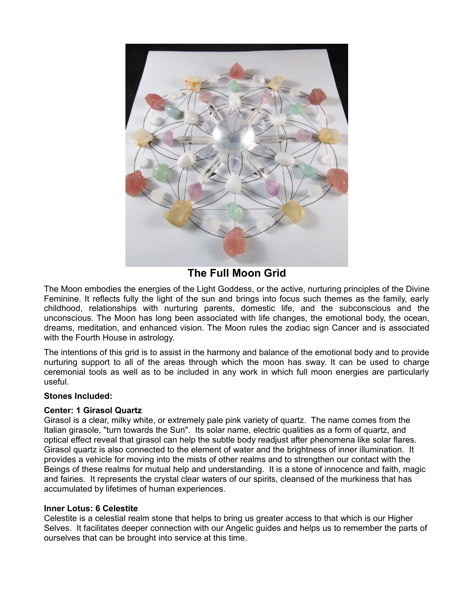

**The Full Moon Grid**

The Moon embodies the energies of the Light Goddess, or the active, nurturing principles of the Divine Feminine. It reflects fully the light of the sun and brings into focus such themes as the family, early childhood, relationships with nurturing parents, domestic life, and the subconscious and the unconscious. The Moon has long been associated with life changes, the emotional body, the ocean, dreams, meditation, and enhanced vision. The Moon rules the zodiac sign Cancer and is associated with the Fourth House in astrology.

The intentions of this grid is to assist in the harmony and balance of the emotional body and to provide nurturing support to all of the areas through which the moon has sway. It can be used to charge ceremonial tools as well as to be included in any work in which full moon energies are particularly useful.

# **Stones Included:**

# **Center: 1 Girasol Quartz**

Girasol is a clear, milky white, or extremely pale pink variety of quartz. The name comes from the Italian girasole, "turn towards the Sun". Its solar name, electric qualities as a form of quartz, and optical effect reveal that girasol can help the subtle body readjust after phenomena like solar flares. Girasol quartz is also connected to the element of water and the brightness of inner illumination. It provides a vehicle for moving into the mists of other realms and to strengthen our contact with the Beings of these realms for mutual help and understanding. It is a stone of innocence and faith, magic and fairies. It represents the crystal clear waters of our spirits, cleansed of the murkiness that has accumulated by lifetimes of human experiences.

#### **Inner Lotus: 6 Celestite**

Celestite is a celestial realm stone that helps to bring us greater access to that which is our Higher Selves. It facilitates deeper connection with our Angelic guides and helps us to remember the parts of ourselves that can be brought into service at this time.